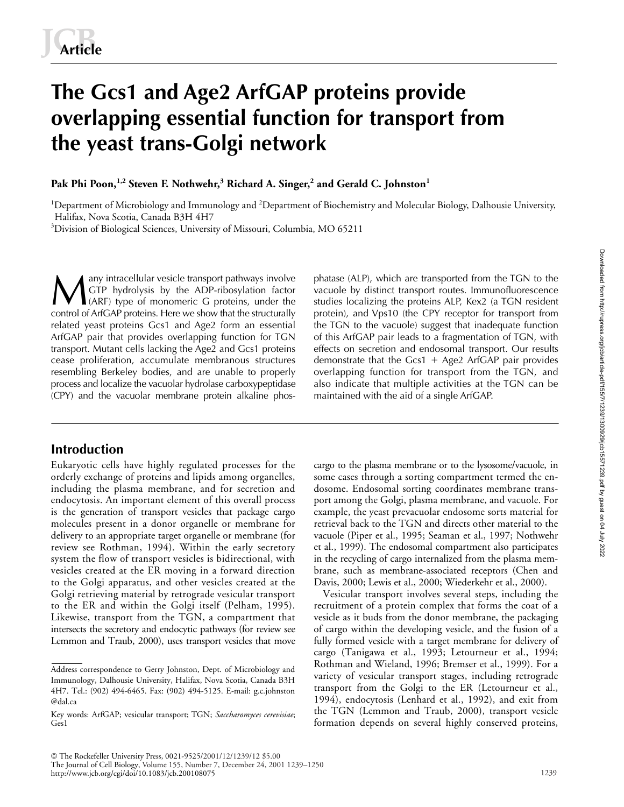# **The Gcs1 and Age2 ArfGAP proteins provide overlapping essential function for transport from the yeast trans-Golgi network**

 ${\bf P}$ ak  ${\bf P}$ hi  ${\bf P}$ oon, $^{1,2}$  Steven F. Nothwehr, $^3$  Richard A. Singer, $^2$  and Gerald C. Johnston $^1$ 

<sup>1</sup>Department of Microbiology and Immunology and <sup>2</sup>Department of Biochemistry and Molecular Biology, Dalhousie University, Halifax, Nova Scotia, Canada B3H 4H7

<sup>3</sup>Division of Biological Sciences, University of Missouri, Columbia, MO 65211

any intracellular vesicle transport pathways involve GTP hydrolysis by the ADP-ribosylation factor A any intracellular vesicle transport pathways involve phatase (ALP), which are transported from the TGN to the GTP hydrolysis by the ADP-ribosylation factor vacuole by distinct transport routes. Immunofluorescence (ARF) t control of ArfGAP proteins. Here we show that the structurally related yeast proteins Gcs1 and Age2 form an essential ArfGAP pair that provides overlapping function for TGN transport. Mutant cells lacking the Age2 and Gcs1 proteins cease proliferation, accumulate membranous structures resembling Berkeley bodies, and are unable to properly process and localize the vacuolar hydrolase carboxypeptidase (CPY) and the vacuolar membrane protein alkaline phos-

# **Introduction**

Eukaryotic cells have highly regulated processes for the orderly exchange of proteins and lipids among organelles, including the plasma membrane, and for secretion and endocytosis. An important element of this overall process is the generation of transport vesicles that package cargo molecules present in a donor organelle or membrane for delivery to an appropriate target organelle or membrane (for review see Rothman, 1994). Within the early secretory system the flow of transport vesicles is bidirectional, with vesicles created at the ER moving in a forward direction to the Golgi apparatus, and other vesicles created at the Golgi retrieving material by retrograde vesicular transport to the ER and within the Golgi itself (Pelham, 1995). Likewise, transport from the TGN, a compartment that intersects the secretory and endocytic pathways (for review see Lemmon and Traub, 2000), uses transport vesicles that move

vacuole by distinct transport routes. Immunofluorescence studies localizing the proteins ALP, Kex2 (a TGN resident protein), and Vps10 (the CPY receptor for transport from the TGN to the vacuole) suggest that inadequate function of this ArfGAP pair leads to a fragmentation of TGN, with effects on secretion and endosomal transport. Our results demonstrate that the Gcs1 + Age2 ArfGAP pair provides overlapping function for transport from the TGN, and also indicate that multiple activities at the TGN can be maintained with the aid of a single ArfGAP.

cargo to the plasma membrane or to the lysosome/vacuole, in some cases through a sorting compartment termed the endosome. Endosomal sorting coordinates membrane transport among the Golgi, plasma membrane, and vacuole. For example, the yeast prevacuolar endosome sorts material for retrieval back to the TGN and directs other material to the vacuole (Piper et al., 1995; Seaman et al., 1997; Nothwehr et al., 1999). The endosomal compartment also participates in the recycling of cargo internalized from the plasma membrane, such as membrane-associated receptors (Chen and Davis, 2000; Lewis et al., 2000; Wiederkehr et al., 2000).

Vesicular transport involves several steps, including the recruitment of a protein complex that forms the coat of a vesicle as it buds from the donor membrane, the packaging of cargo within the developing vesicle, and the fusion of a fully formed vesicle with a target membrane for delivery of cargo (Tanigawa et al., 1993; Letourneur et al., 1994; Rothman and Wieland, 1996; Bremser et al., 1999). For a variety of vesicular transport stages, including retrograde transport from the Golgi to the ER (Letourneur et al., 1994), endocytosis (Lenhard et al., 1992), and exit from the TGN (Lemmon and Traub, 2000), transport vesicle formation depends on several highly conserved proteins,

Address correspondence to Gerry Johnston, Dept. of Microbiology and Immunology, Dalhousie University, Halifax, Nova Scotia, Canada B3H 4H7. Tel.: (902) 494-6465. Fax: (902) 494-5125. E-mail: g.c.johnston @dal.ca

Key words: ArfGAP; vesicular transport; TGN; *Saccharomyces cerevisiae*; Ges1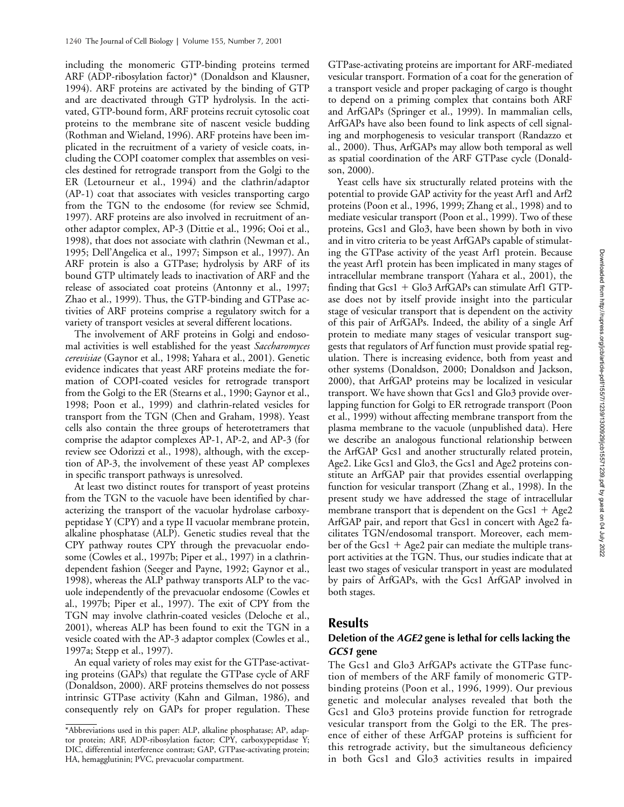including the monomeric GTP-binding proteins termed ARF (ADP-ribosylation factor)\* (Donaldson and Klausner, 1994). ARF proteins are activated by the binding of GTP and are deactivated through GTP hydrolysis. In the activated, GTP-bound form, ARF proteins recruit cytosolic coat proteins to the membrane site of nascent vesicle budding (Rothman and Wieland, 1996). ARF proteins have been implicated in the recruitment of a variety of vesicle coats, including the COPI coatomer complex that assembles on vesicles destined for retrograde transport from the Golgi to the ER (Letourneur et al., 1994) and the clathrin/adaptor (AP-1) coat that associates with vesicles transporting cargo from the TGN to the endosome (for review see Schmid, 1997). ARF proteins are also involved in recruitment of another adaptor complex, AP-3 (Dittie et al., 1996; Ooi et al., 1998), that does not associate with clathrin (Newman et al., 1995; Dell'Angelica et al., 1997; Simpson et al., 1997). An ARF protein is also a GTPase; hydrolysis by ARF of its bound GTP ultimately leads to inactivation of ARF and the release of associated coat proteins (Antonny et al., 1997; Zhao et al., 1999). Thus, the GTP-binding and GTPase activities of ARF proteins comprise a regulatory switch for a variety of transport vesicles at several different locations.

The involvement of ARF proteins in Golgi and endosomal activities is well established for the yeast *Saccharomyces cerevisiae* (Gaynor et al., 1998; Yahara et al., 2001). Genetic evidence indicates that yeast ARF proteins mediate the formation of COPI-coated vesicles for retrograde transport from the Golgi to the ER (Stearns et al., 1990; Gaynor et al., 1998; Poon et al., 1999) and clathrin-related vesicles for transport from the TGN (Chen and Graham, 1998). Yeast cells also contain the three groups of heterotetramers that comprise the adaptor complexes AP-1, AP-2, and AP-3 (for review see Odorizzi et al., 1998), although, with the exception of AP-3, the involvement of these yeast AP complexes in specific transport pathways is unresolved.

At least two distinct routes for transport of yeast proteins from the TGN to the vacuole have been identified by characterizing the transport of the vacuolar hydrolase carboxypeptidase Y (CPY) and a type II vacuolar membrane protein, alkaline phosphatase (ALP). Genetic studies reveal that the CPY pathway routes CPY through the prevacuolar endosome (Cowles et al., 1997b; Piper et al., 1997) in a clathrindependent fashion (Seeger and Payne, 1992; Gaynor et al., 1998), whereas the ALP pathway transports ALP to the vacuole independently of the prevacuolar endosome (Cowles et al., 1997b; Piper et al., 1997). The exit of CPY from the TGN may involve clathrin-coated vesicles (Deloche et al., 2001), whereas ALP has been found to exit the TGN in a vesicle coated with the AP-3 adaptor complex (Cowles et al., 1997a; Stepp et al., 1997).

An equal variety of roles may exist for the GTPase-activating proteins (GAPs) that regulate the GTPase cycle of ARF (Donaldson, 2000). ARF proteins themselves do not possess intrinsic GTPase activity (Kahn and Gilman, 1986), and consequently rely on GAPs for proper regulation. These GTPase-activating proteins are important for ARF-mediated vesicular transport. Formation of a coat for the generation of a transport vesicle and proper packaging of cargo is thought to depend on a priming complex that contains both ARF and ArfGAPs (Springer et al., 1999). In mammalian cells, ArfGAPs have also been found to link aspects of cell signaling and morphogenesis to vesicular transport (Randazzo et al., 2000). Thus, ArfGAPs may allow both temporal as well as spatial coordination of the ARF GTPase cycle (Donaldson, 2000).

Yeast cells have six structurally related proteins with the potential to provide GAP activity for the yeast Arf1 and Arf2 proteins (Poon et al., 1996, 1999; Zhang et al., 1998) and to mediate vesicular transport (Poon et al., 1999). Two of these proteins, Gcs1 and Glo3, have been shown by both in vivo and in vitro criteria to be yeast ArfGAPs capable of stimulating the GTPase activity of the yeast Arf1 protein. Because the yeast Arf1 protein has been implicated in many stages of intracellular membrane transport (Yahara et al., 2001), the finding that Gcs1 + Glo3 ArfGAPs can stimulate Arf1 GTPase does not by itself provide insight into the particular stage of vesicular transport that is dependent on the activity of this pair of ArfGAPs. Indeed, the ability of a single Arf protein to mediate many stages of vesicular transport suggests that regulators of Arf function must provide spatial regulation. There is increasing evidence, both from yeast and other systems (Donaldson, 2000; Donaldson and Jackson, 2000), that ArfGAP proteins may be localized in vesicular transport. We have shown that Gcs1 and Glo3 provide overlapping function for Golgi to ER retrograde transport (Poon et al., 1999) without affecting membrane transport from the plasma membrane to the vacuole (unpublished data). Here we describe an analogous functional relationship between the ArfGAP Gcs1 and another structurally related protein, Age2. Like Gcs1 and Glo3, the Gcs1 and Age2 proteins constitute an ArfGAP pair that provides essential overlapping function for vesicular transport (Zhang et al., 1998). In the present study we have addressed the stage of intracellular membrane transport that is dependent on the  $Gcs1 + Age2$ ArfGAP pair, and report that Gcs1 in concert with Age2 facilitates TGN/endosomal transport. Moreover, each member of the Gcs1 + Age2 pair can mediate the multiple transport activities at the TGN. Thus, our studies indicate that at least two stages of vesicular transport in yeast are modulated by pairs of ArfGAPs, with the Gcs1 ArfGAP involved in both stages.

# **Results**

# **Deletion of the** *AGE2* **gene is lethal for cells lacking the**  *GCS1* **gene**

The Gcs1 and Glo3 ArfGAPs activate the GTPase function of members of the ARF family of monomeric GTPbinding proteins (Poon et al., 1996, 1999). Our previous genetic and molecular analyses revealed that both the Gcs1 and Glo3 proteins provide function for retrograde vesicular transport from the Golgi to the ER. The presence of either of these ArfGAP proteins is sufficient for this retrograde activity, but the simultaneous deficiency in both Gcs1 and Glo3 activities results in impaired

<sup>\*</sup>Abbreviations used in this paper: ALP, alkaline phosphatase; AP, adaptor protein; ARF, ADP-ribosylation factor; CPY, carboxypeptidase Y; DIC, differential interference contrast; GAP, GTPase-activating protein; HA, hemagglutinin; PVC, prevacuolar compartment.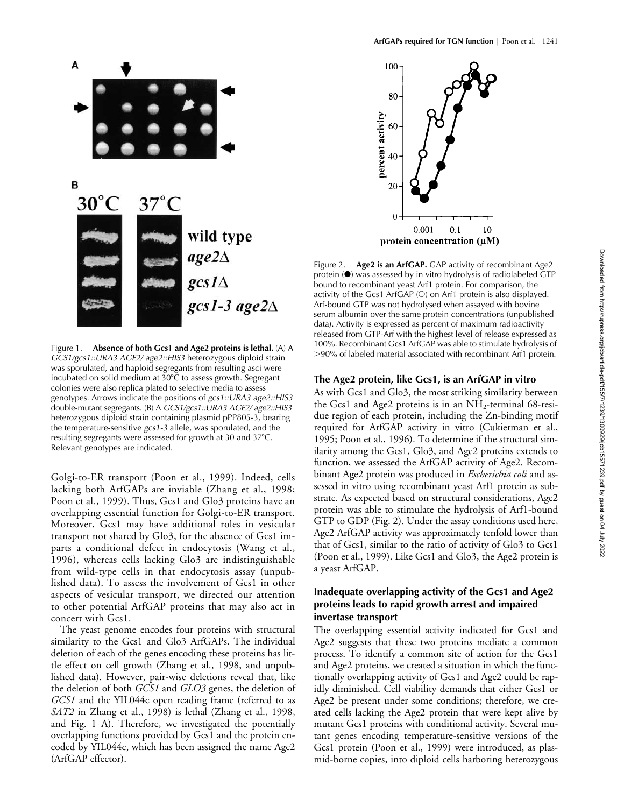

Figure 1. **Absence of both Gcs1 and Age2 proteins is lethal.** (A) A *GCS1/gcs1::URA3 AGE2/ age2::HIS3* heterozygous diploid strain was sporulated, and haploid segregants from resulting asci were incubated on solid medium at  $30^{\circ}$ C to assess growth. Segregant colonies were also replica plated to selective media to assess genotypes. Arrows indicate the positions of *gcs1::URA3 age2::HIS3* double-mutant segregants. (B) A *GCS1/gcs1::URA3 AGE2/ age2::HIS3* heterozygous diploid strain containing plasmid pPP805-3, bearing the temperature-sensitive *gcs1-3* allele, was sporulated, and the resulting segregants were assessed for growth at 30 and 37°C. Relevant genotypes are indicated.

Golgi-to-ER transport (Poon et al., 1999). Indeed, cells lacking both ArfGAPs are inviable (Zhang et al., 1998; Poon et al., 1999). Thus, Gcs1 and Glo3 proteins have an overlapping essential function for Golgi-to-ER transport. Moreover, Gcs1 may have additional roles in vesicular transport not shared by Glo3, for the absence of Gcs1 imparts a conditional defect in endocytosis (Wang et al., 1996), whereas cells lacking Glo3 are indistinguishable from wild-type cells in that endocytosis assay (unpublished data). To assess the involvement of Gcs1 in other aspects of vesicular transport, we directed our attention to other potential ArfGAP proteins that may also act in concert with Gcs1.

The yeast genome encodes four proteins with structural similarity to the Gcs1 and Glo3 ArfGAPs. The individual deletion of each of the genes encoding these proteins has little effect on cell growth (Zhang et al., 1998, and unpublished data). However, pair-wise deletions reveal that, like the deletion of both *GCS1* and *GLO3* genes, the deletion of *GCS1* and the YIL044c open reading frame (referred to as *SAT2* in Zhang et al., 1998) is lethal (Zhang et al., 1998, and Fig. 1 A). Therefore, we investigated the potentially overlapping functions provided by Gcs1 and the protein encoded by YIL044c, which has been assigned the name Age2 (ArfGAP effector).



Figure 2. **Age2 is an ArfGAP.** GAP activity of recombinant Age2 protein ( $\bullet$ ) was assessed by in vitro hydrolysis of radiolabeled GTP bound to recombinant yeast Arf1 protein. For comparison, the activity of the Gcs1 ArfGAP  $(O)$  on Arf1 protein is also displayed. Arf-bound GTP was not hydrolysed when assayed with bovine serum albumin over the same protein concentrations (unpublished data). Activity is expressed as percent of maximum radioactivity released from GTP-Arf with the highest level of release expressed as 100%. Recombinant Gcs1 ArfGAP was able to stimulate hydrolysis of 90% of labeled material associated with recombinant Arf1 protein.

### **The Age2 protein, like Gcs1, is an ArfGAP in vitro**

As with Gcs1 and Glo3, the most striking similarity between the Gcs1 and Age2 proteins is in an  $NH<sub>2</sub>$ -terminal 68-residue region of each protein, including the Zn-binding motif required for ArfGAP activity in vitro (Cukierman et al., 1995; Poon et al., 1996). To determine if the structural similarity among the Gcs1, Glo3, and Age2 proteins extends to function, we assessed the ArfGAP activity of Age2. Recombinant Age2 protein was produced in *Escherichia coli* and assessed in vitro using recombinant yeast Arf1 protein as substrate. As expected based on structural considerations, Age2 protein was able to stimulate the hydrolysis of Arf1-bound GTP to GDP (Fig. 2). Under the assay conditions used here, Age2 ArfGAP activity was approximately tenfold lower than that of Gcs1, similar to the ratio of activity of Glo3 to Gcs1 (Poon et al., 1999). Like Gcs1 and Glo3, the Age2 protein is a yeast ArfGAP.

# **Inadequate overlapping activity of the Gcs1 and Age2 proteins leads to rapid growth arrest and impaired invertase transport**

The overlapping essential activity indicated for Gcs1 and Age2 suggests that these two proteins mediate a common process. To identify a common site of action for the Gcs1 and Age2 proteins, we created a situation in which the functionally overlapping activity of Gcs1 and Age2 could be rapidly diminished. Cell viability demands that either Gcs1 or Age2 be present under some conditions; therefore, we created cells lacking the Age2 protein that were kept alive by mutant Gcs1 proteins with conditional activity. Several mutant genes encoding temperature-sensitive versions of the Gcs1 protein (Poon et al., 1999) were introduced, as plasmid-borne copies, into diploid cells harboring heterozygous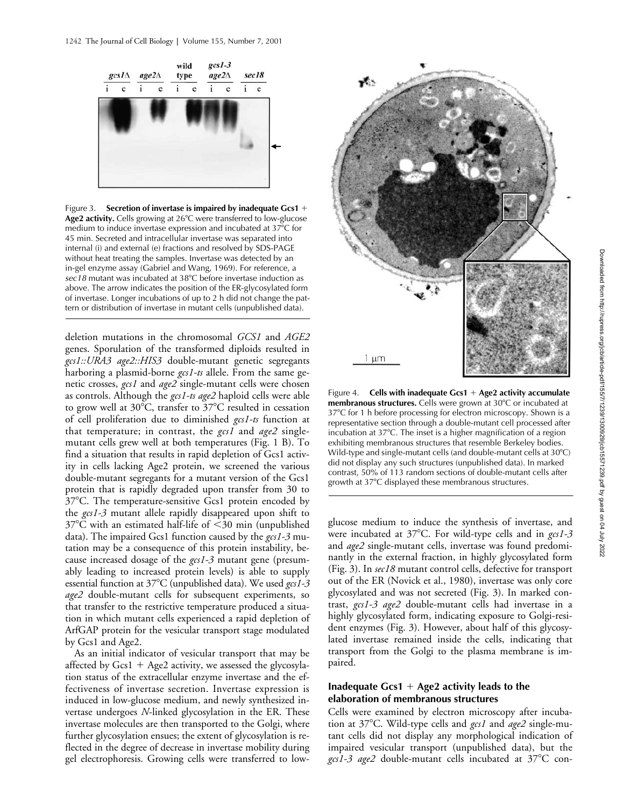

Figure 3. **Secretion of invertase is impaired by inadequate Gcs1** + Age2 activity. Cells growing at 26°C were transferred to low-glucose medium to induce invertase expression and incubated at 37°C for 45 min. Secreted and intracellular invertase was separated into internal (i) and external (e) fractions and resolved by SDS-PAGE without heat treating the samples. Invertase was detected by an in-gel enzyme assay (Gabriel and Wang, 1969). For reference, a *sec18* mutant was incubated at 38C before invertase induction as above. The arrow indicates the position of the ER-glycosylated form of invertase. Longer incubations of up to 2 h did not change the pattern or distribution of invertase in mutant cells (unpublished data).

deletion mutations in the chromosomal *GCS1* and *AGE2* genes. Sporulation of the transformed diploids resulted in *gcs1::URA3 age2::HIS3* double-mutant genetic segregants harboring a plasmid-borne *gcs1-ts* allele. From the same genetic crosses, *gcs1* and *age2* single-mutant cells were chosen as controls. Although the *gcs1-ts age2* haploid cells were able to grow well at  $30^{\circ}$ C, transfer to  $37^{\circ}$ C resulted in cessation of cell proliferation due to diminished *gcs1-ts* function at that temperature; in contrast, the *gcs1* and *age2* singlemutant cells grew well at both temperatures (Fig. 1 B). To find a situation that results in rapid depletion of Gcs1 activity in cells lacking Age2 protein, we screened the various double-mutant segregants for a mutant version of the Gcs1 protein that is rapidly degraded upon transfer from 30 to 37°C. The temperature-sensitive Gcs1 protein encoded by the *gcs1-3* mutant allele rapidly disappeared upon shift to  $37^{\circ}$ C with an estimated half-life of  $\leq$ 30 min (unpublished data). The impaired Gcs1 function caused by the *gcs1-3* mutation may be a consequence of this protein instability, because increased dosage of the *gcs1-3* mutant gene (presumably leading to increased protein levels) is able to supply essential function at 37C (unpublished data). We used *gcs1-3 age2* double-mutant cells for subsequent experiments, so that transfer to the restrictive temperature produced a situation in which mutant cells experienced a rapid depletion of ArfGAP protein for the vesicular transport stage modulated by Gcs1 and Age2.

As an initial indicator of vesicular transport that may be affected by Gcs1 + Age2 activity, we assessed the glycosylation status of the extracellular enzyme invertase and the effectiveness of invertase secretion. Invertase expression is induced in low-glucose medium, and newly synthesized invertase undergoes *N*-linked glycosylation in the ER. These invertase molecules are then transported to the Golgi, where further glycosylation ensues; the extent of glycosylation is reflected in the degree of decrease in invertase mobility during gel electrophoresis. Growing cells were transferred to low-



Figure 4. Cells with inadequate Gcs1 + Age2 activity accumulate membranous structures. Cells were grown at 30°C or incubated at 37°C for 1 h before processing for electron microscopy. Shown is a representative section through a double-mutant cell processed after incubation at 37°C. The inset is a higher magnification of a region exhibiting membranous structures that resemble Berkeley bodies. Wild-type and single-mutant cells (and double-mutant cells at 30°C) did not display any such structures (unpublished data). In marked contrast, 50% of 113 random sections of double-mutant cells after growth at 37°C displayed these membranous structures.

glucose medium to induce the synthesis of invertase, and were incubated at 37°C. For wild-type cells and in *gcs1-3* and *age2* single-mutant cells, invertase was found predominantly in the external fraction, in highly glycosylated form (Fig. 3). In *sec18* mutant control cells, defective for transport out of the ER (Novick et al., 1980), invertase was only core glycosylated and was not secreted (Fig. 3). In marked contrast, *gcs1-3 age2* double-mutant cells had invertase in a highly glycosylated form, indicating exposure to Golgi-resident enzymes (Fig. 3). However, about half of this glycosylated invertase remained inside the cells, indicating that transport from the Golgi to the plasma membrane is impaired.

### Inadequate Gcs1 + Age2 activity leads to the **elaboration of membranous structures**

Cells were examined by electron microscopy after incubation at 37C. Wild-type cells and *gcs1* and *age2* single-mutant cells did not display any morphological indication of impaired vesicular transport (unpublished data), but the gcs1-3 age2 double-mutant cells incubated at 37°C con-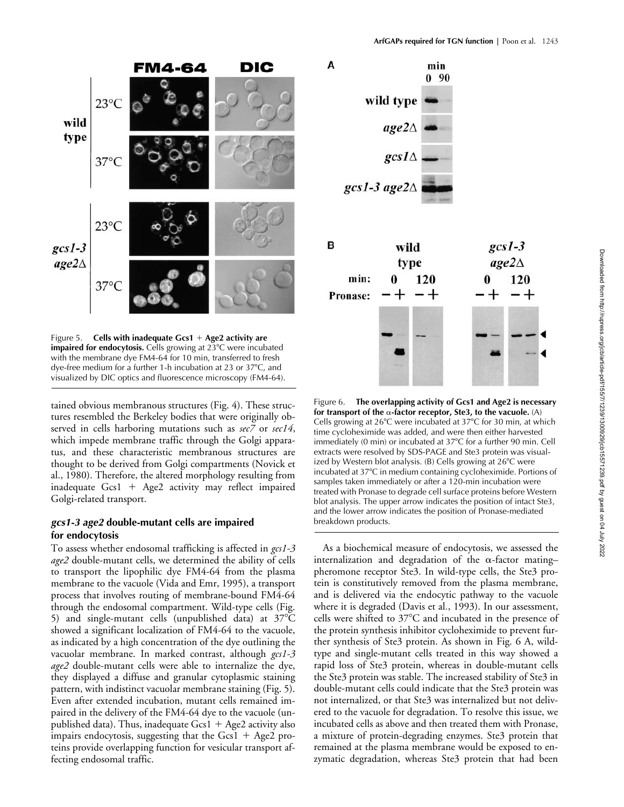

Figure 5. Cells with inadequate Gcs1 + Age2 activity are **impaired for endocytosis.** Cells growing at 23°C were incubated with the membrane dye FM4-64 for 10 min, transferred to fresh dye-free medium for a further 1-h incubation at 23 or 37°C, and visualized by DIC optics and fluorescence microscopy (FM4-64).

tained obvious membranous structures (Fig. 4). These structures resembled the Berkeley bodies that were originally observed in cells harboring mutations such as *sec7* or *sec14*, which impede membrane traffic through the Golgi apparatus, and these characteristic membranous structures are thought to be derived from Golgi compartments (Novick et al., 1980). Therefore, the altered morphology resulting from inadequate Gcs1 + Age2 activity may reflect impaired Golgi-related transport.

### *gcs1-3 age2* **double-mutant cells are impaired for endocytosis**

To assess whether endosomal trafficking is affected in *gcs1-3 age2* double-mutant cells, we determined the ability of cells to transport the lipophilic dye FM4-64 from the plasma membrane to the vacuole (Vida and Emr, 1995), a transport process that involves routing of membrane-bound FM4-64 through the endosomal compartment. Wild-type cells (Fig. 5) and single-mutant cells (unpublished data) at  $37^{\circ}$ C showed a significant localization of FM4-64 to the vacuole, as indicated by a high concentration of the dye outlining the vacuolar membrane. In marked contrast, although *gcs1-3 age2* double-mutant cells were able to internalize the dye, they displayed a diffuse and granular cytoplasmic staining pattern, with indistinct vacuolar membrane staining (Fig. 5). Even after extended incubation, mutant cells remained impaired in the delivery of the FM4-64 dye to the vacuole (unpublished data). Thus, inadequate  $Gcs1 + Age2$  activity also impairs endocytosis, suggesting that the  $Gcs1 + Age2$  proteins provide overlapping function for vesicular transport affecting endosomal traffic.



Figure 6. **The overlapping activity of Gcs1 and Age2 is necessary**  for transport of the  $\alpha$ -factor receptor, Ste3, to the vacuole.  $(A)$ Cells growing at  $26^{\circ}$ C were incubated at  $37^{\circ}$ C for 30 min, at which time cycloheximide was added, and were then either harvested immediately (0 min) or incubated at 37°C for a further 90 min. Cell extracts were resolved by SDS-PAGE and Ste3 protein was visualized by Western blot analysis. (B) Cells growing at 26°C were incubated at 37°C in medium containing cycloheximide. Portions of samples taken immediately or after a 120-min incubation were treated with Pronase to degrade cell surface proteins before Western blot analysis. The upper arrow indicates the position of intact Ste3, and the lower arrow indicates the position of Pronase-mediated breakdown products.

As a biochemical measure of endocytosis, we assessed the internalization and degradation of the  $\alpha$ -factor mating– pheromone receptor Ste3. In wild-type cells, the Ste3 protein is constitutively removed from the plasma membrane, and is delivered via the endocytic pathway to the vacuole where it is degraded (Davis et al*.*, 1993). In our assessment, cells were shifted to  $37^{\circ}$ C and incubated in the presence of the protein synthesis inhibitor cycloheximide to prevent further synthesis of Ste3 protein. As shown in Fig. 6 A, wildtype and single-mutant cells treated in this way showed a rapid loss of Ste3 protein, whereas in double-mutant cells the Ste3 protein was stable. The increased stability of Ste3 in double-mutant cells could indicate that the Ste3 protein was not internalized, or that Ste3 was internalized but not delivered to the vacuole for degradation. To resolve this issue, we incubated cells as above and then treated them with Pronase, a mixture of protein-degrading enzymes. Ste3 protein that remained at the plasma membrane would be exposed to enzymatic degradation, whereas Ste3 protein that had been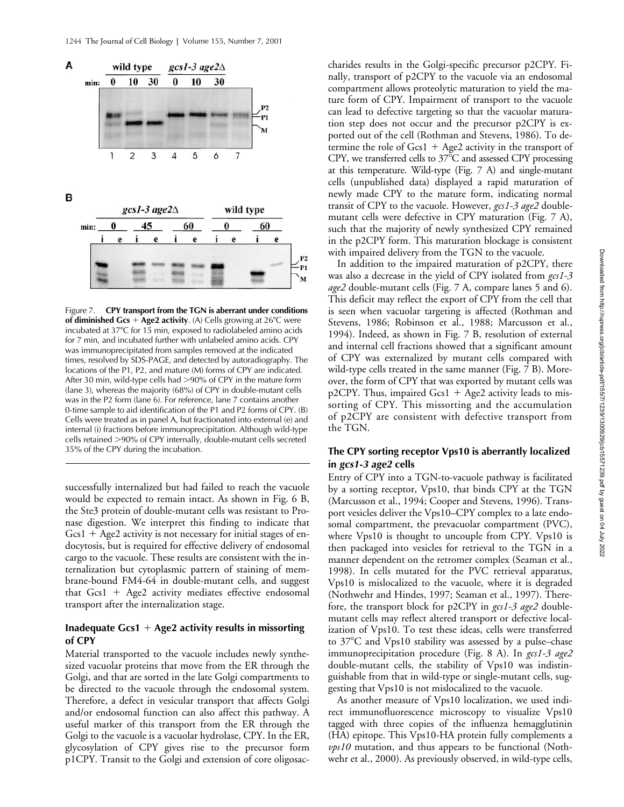

Figure 7. **CPY transport from the TGN is aberrant under conditions of diminished Gcs** + **Age2 activity**. (A) Cells growing at 26<sup>°</sup>C were incubated at 37°C for 15 min, exposed to radiolabeled amino acids for 7 min, and incubated further with unlabeled amino acids. CPY was immunoprecipitated from samples removed at the indicated times, resolved by SDS-PAGE, and detected by autoradiography. The locations of the P1, P2, and mature (M) forms of CPY are indicated. After 30 min, wild-type cells had >90% of CPY in the mature form (lane 3), whereas the majority (68%) of CPY in double-mutant cells was in the P2 form (lane 6). For reference, lane 7 contains another 0-time sample to aid identification of the P1 and P2 forms of CPY. (B) Cells were treated as in panel A, but fractionated into external (e) and internal (i) fractions before immunoprecipitation. Although wild-type cells retained 90% of CPY internally, double-mutant cells secreted 35% of the CPY during the incubation.

successfully internalized but had failed to reach the vacuole would be expected to remain intact. As shown in Fig. 6 B, the Ste3 protein of double-mutant cells was resistant to Pronase digestion. We interpret this finding to indicate that Gcs1 + Age2 activity is not necessary for initial stages of endocytosis, but is required for effective delivery of endosomal cargo to the vacuole. These results are consistent with the internalization but cytoplasmic pattern of staining of membrane-bound FM4-64 in double-mutant cells, and suggest that Gcs1 - Age2 activity mediates effective endosomal transport after the internalization stage.

# Inadequate Gcs1 + Age2 activity results in missorting **of CPY**

Material transported to the vacuole includes newly synthesized vacuolar proteins that move from the ER through the Golgi, and that are sorted in the late Golgi compartments to be directed to the vacuole through the endosomal system. Therefore, a defect in vesicular transport that affects Golgi and/or endosomal function can also affect this pathway. A useful marker of this transport from the ER through the Golgi to the vacuole is a vacuolar hydrolase, CPY. In the ER, glycosylation of CPY gives rise to the precursor form p1CPY. Transit to the Golgi and extension of core oligosaccharides results in the Golgi-specific precursor p2CPY. Finally, transport of p2CPY to the vacuole via an endosomal compartment allows proteolytic maturation to yield the mature form of CPY. Impairment of transport to the vacuole can lead to defective targeting so that the vacuolar maturation step does not occur and the precursor p2CPY is exported out of the cell (Rothman and Stevens, 1986). To determine the role of  $Gcs1 + Age2$  activity in the transport of CPY, we transferred cells to  $37^{\circ}$ C and assessed CPY processing at this temperature. Wild-type (Fig. 7 A) and single-mutant cells (unpublished data) displayed a rapid maturation of newly made CPY to the mature form, indicating normal transit of CPY to the vacuole. However, *gcs1-3 age2* doublemutant cells were defective in CPY maturation (Fig. 7 A), such that the majority of newly synthesized CPY remained in the p2CPY form. This maturation blockage is consistent with impaired delivery from the TGN to the vacuole.

In addition to the impaired maturation of p2CPY, there was also a decrease in the yield of CPY isolated from *gcs1-3 age2* double-mutant cells (Fig. 7 A, compare lanes 5 and 6). This deficit may reflect the export of CPY from the cell that is seen when vacuolar targeting is affected (Rothman and Stevens, 1986; Robinson et al., 1988; Marcusson et al., 1994). Indeed, as shown in Fig. 7 B, resolution of external and internal cell fractions showed that a significant amount of CPY was externalized by mutant cells compared with wild-type cells treated in the same manner (Fig. 7 B). Moreover, the form of CPY that was exported by mutant cells was p2CPY. Thus, impaired Gcs1 + Age2 activity leads to missorting of CPY. This missorting and the accumulation of p2CPY are consistent with defective transport from the TGN.

### **The CPY sorting receptor Vps10 is aberrantly localized in** *gcs1-3 age2* **cells**

Entry of CPY into a TGN-to-vacuole pathway is facilitated by a sorting receptor, Vps10, that binds CPY at the TGN (Marcusson et al., 1994; Cooper and Stevens, 1996). Transport vesicles deliver the Vps10–CPY complex to a late endosomal compartment, the prevacuolar compartment (PVC), where Vps10 is thought to uncouple from CPY. Vps10 is then packaged into vesicles for retrieval to the TGN in a manner dependent on the retromer complex (Seaman et al., 1998). In cells mutated for the PVC retrieval apparatus, Vps10 is mislocalized to the vacuole, where it is degraded (Nothwehr and Hindes, 1997; Seaman et al., 1997). Therefore, the transport block for p2CPY in *gcs1-3 age2* doublemutant cells may reflect altered transport or defective localization of Vps10. To test these ideas, cells were transferred to 37C and Vps10 stability was assessed by a pulse–chase immunoprecipitation procedure (Fig. 8 A). In *gcs1-3 age2* double-mutant cells, the stability of Vps10 was indistinguishable from that in wild-type or single-mutant cells, suggesting that Vps10 is not mislocalized to the vacuole.

As another measure of Vps10 localization, we used indirect immunofluorescence microscopy to visualize Vps10 tagged with three copies of the influenza hemagglutinin (HA) epitope. This Vps10-HA protein fully complements a *vps10* mutation, and thus appears to be functional (Nothwehr et al., 2000). As previously observed, in wild-type cells,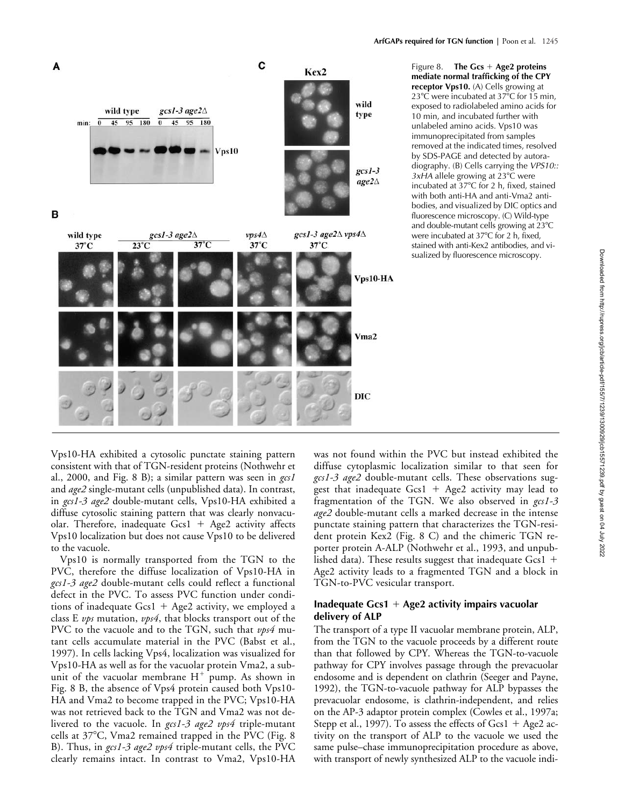Figure 8. The Gcs + Age2 proteins **mediate normal trafficking of the CPY receptor Vps10.** (A) Cells growing at 23°C were incubated at 37°C for 15 min, exposed to radiolabeled amino acids for 10 min, and incubated further with unlabeled amino acids. Vps10 was immunoprecipitated from samples removed at the indicated times, resolved by SDS-PAGE and detected by autoradiography. (B) Cells carrying the *VPS10:: 3xHA* allele growing at 23<sup>°</sup>C were incubated at 37°C for 2 h, fixed, stained with both anti-HA and anti-Vma2 antibodies, and visualized by DIC optics and fluorescence microscopy. (C) Wild-type and double-mutant cells growing at 23°C were incubated at 37°C for 2 h, fixed, stained with anti-Kex2 antibodies, and visualized by fluorescence microscopy.

Vps10-HA exhibited a cytosolic punctate staining pattern consistent with that of TGN-resident proteins (Nothwehr et al., 2000, and Fig. 8 B); a similar pattern was seen in *gcs1* and *age2* single-mutant cells (unpublished data). In contrast, in *gcs1-3 age2* double-mutant cells, Vps10-HA exhibited a diffuse cytosolic staining pattern that was clearly nonvacuolar. Therefore, inadequate Gcs1 + Age2 activity affects Vps10 localization but does not cause Vps10 to be delivered to the vacuole.

Vps10 is normally transported from the TGN to the PVC, therefore the diffuse localization of Vps10-HA in *gcs1-3 age2* double-mutant cells could reflect a functional defect in the PVC. To assess PVC function under conditions of inadequate Gcs1 + Age2 activity, we employed a class E *vps* mutation, *vps4*, that blocks transport out of the PVC to the vacuole and to the TGN, such that *vps4* mutant cells accumulate material in the PVC (Babst et al., 1997). In cells lacking Vps4, localization was visualized for Vps10-HA as well as for the vacuolar protein Vma2, a subunit of the vacuolar membrane  $H^+$  pump. As shown in Fig. 8 B, the absence of Vps4 protein caused both Vps10- HA and Vma2 to become trapped in the PVC; Vps10-HA was not retrieved back to the TGN and Vma2 was not delivered to the vacuole. In *gcs1-3 age2 vps4* triple-mutant cells at 37°C, Vma2 remained trapped in the PVC (Fig. 8 B). Thus, in *gcs1-3 age2 vps4* triple-mutant cells, the PVC clearly remains intact. In contrast to Vma2, Vps10-HA

was not found within the PVC but instead exhibited the diffuse cytoplasmic localization similar to that seen for *gcs1-3 age2* double-mutant cells. These observations suggest that inadequate  $Gcs1 + Age2$  activity may lead to fragmentation of the TGN. We also observed in *gcs1-3 age2* double-mutant cells a marked decrease in the intense punctate staining pattern that characterizes the TGN-resident protein Kex2 (Fig. 8 C) and the chimeric TGN reporter protein A-ALP (Nothwehr et al., 1993, and unpublished data). These results suggest that inadequate Gcs1  $+$ Age2 activity leads to a fragmented TGN and a block in TGN-to-PVC vesicular transport.

# Inadequate Gcs1 + Age2 activity impairs vacuolar **delivery of ALP**

The transport of a type II vacuolar membrane protein, ALP, from the TGN to the vacuole proceeds by a different route than that followed by CPY. Whereas the TGN-to-vacuole pathway for CPY involves passage through the prevacuolar endosome and is dependent on clathrin (Seeger and Payne, 1992), the TGN-to-vacuole pathway for ALP bypasses the prevacuolar endosome, is clathrin-independent, and relies on the AP-3 adaptor protein complex (Cowles et al., 1997a; Stepp et al., 1997). To assess the effects of  $Gcs1 + Age2$  activity on the transport of ALP to the vacuole we used the same pulse–chase immunoprecipitation procedure as above, with transport of newly synthesized ALP to the vacuole indi-



C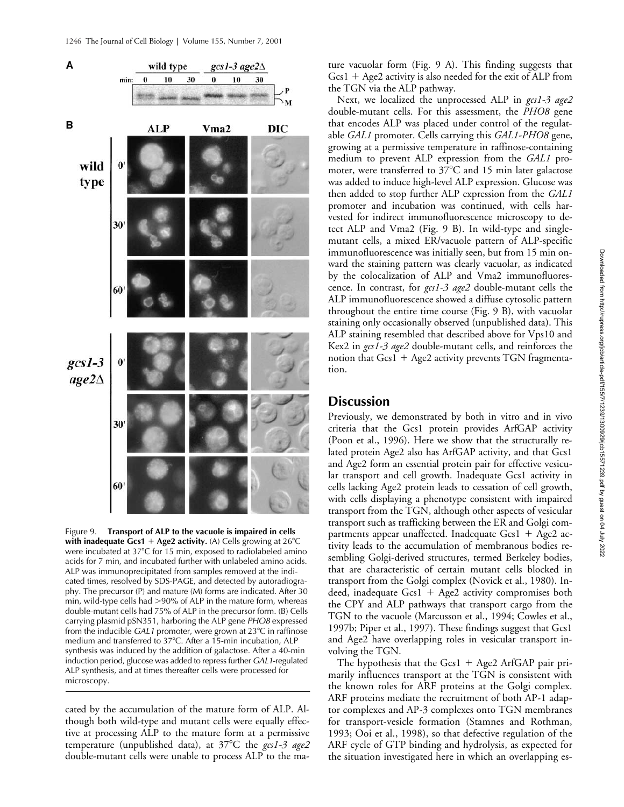

Figure 9. **Transport of ALP to the vacuole is impaired in cells with inadequate Gcs1**  $+$  **Age2 activity.** (A) Cells growing at 26 $\degree$ C were incubated at 37°C for 15 min, exposed to radiolabeled amino acids for 7 min, and incubated further with unlabeled amino acids. ALP was immunoprecipitated from samples removed at the indicated times, resolved by SDS-PAGE, and detected by autoradiography. The precursor (P) and mature (M) forms are indicated. After 30 min, wild-type cells had  $>90\%$  of ALP in the mature form, whereas double-mutant cells had 75% of ALP in the precursor form. (B) Cells carrying plasmid pSN351, harboring the ALP gene *PHO8* expressed from the inducible *GAL1* promoter, were grown at 23<sup>°</sup>C in raffinose medium and transferred to 37°C. After a 15-min incubation, ALP synthesis was induced by the addition of galactose. After a 40-min induction period, glucose was added to repress further *GAL1*-regulated ALP synthesis, and at times thereafter cells were processed for microscopy.

cated by the accumulation of the mature form of ALP. Although both wild-type and mutant cells were equally effective at processing ALP to the mature form at a permissive temperature (unpublished data), at 37C the *gcs1-3 age2* double-mutant cells were unable to process ALP to the mature vacuolar form (Fig. 9 A). This finding suggests that Gcs1 + Age2 activity is also needed for the exit of ALP from the TGN via the ALP pathway.

Next, we localized the unprocessed ALP in *gcs1-3 age2* double-mutant cells. For this assessment, the *PHO8* gene that encodes ALP was placed under control of the regulatable *GAL1* promoter. Cells carrying this *GAL1-PHO8* gene, growing at a permissive temperature in raffinose-containing medium to prevent ALP expression from the *GAL1* promoter, were transferred to  $37^{\circ}$ C and 15 min later galactose was added to induce high-level ALP expression. Glucose was then added to stop further ALP expression from the *GAL1* promoter and incubation was continued, with cells harvested for indirect immunofluorescence microscopy to detect ALP and Vma2 (Fig. 9 B). In wild-type and singlemutant cells, a mixed ER/vacuole pattern of ALP-specific immunofluorescence was initially seen, but from 15 min onward the staining pattern was clearly vacuolar, as indicated by the colocalization of ALP and Vma2 immunofluorescence. In contrast, for *gcs1-3 age2* double-mutant cells the ALP immunofluorescence showed a diffuse cytosolic pattern throughout the entire time course (Fig. 9 B), with vacuolar staining only occasionally observed (unpublished data). This ALP staining resembled that described above for Vps10 and Kex2 in *gcs1-3 age2* double-mutant cells, and reinforces the notion that Gcs1 + Age2 activity prevents TGN fragmentation.

# **Discussion**

Previously, we demonstrated by both in vitro and in vivo criteria that the Gcs1 protein provides ArfGAP activity (Poon et al., 1996). Here we show that the structurally related protein Age2 also has ArfGAP activity, and that Gcs1 and Age2 form an essential protein pair for effective vesicular transport and cell growth. Inadequate Gcs1 activity in cells lacking Age2 protein leads to cessation of cell growth, with cells displaying a phenotype consistent with impaired transport from the TGN, although other aspects of vesicular transport such as trafficking between the ER and Golgi compartments appear unaffected. Inadequate Gcs1 + Age2 activity leads to the accumulation of membranous bodies resembling Golgi-derived structures, termed Berkeley bodies, that are characteristic of certain mutant cells blocked in transport from the Golgi complex (Novick et al., 1980). Indeed, inadequate Gcs1 + Age2 activity compromises both the CPY and ALP pathways that transport cargo from the TGN to the vacuole (Marcusson et al., 1994; Cowles et al., 1997b; Piper et al., 1997). These findings suggest that Gcs1 and Age2 have overlapping roles in vesicular transport involving the TGN.

The hypothesis that the  $Gcs1 + Age2$  Arf $GAP$  pair primarily influences transport at the TGN is consistent with the known roles for ARF proteins at the Golgi complex. ARF proteins mediate the recruitment of both AP-1 adaptor complexes and AP-3 complexes onto TGN membranes for transport-vesicle formation (Stamnes and Rothman, 1993; Ooi et al., 1998), so that defective regulation of the ARF cycle of GTP binding and hydrolysis, as expected for the situation investigated here in which an overlapping es-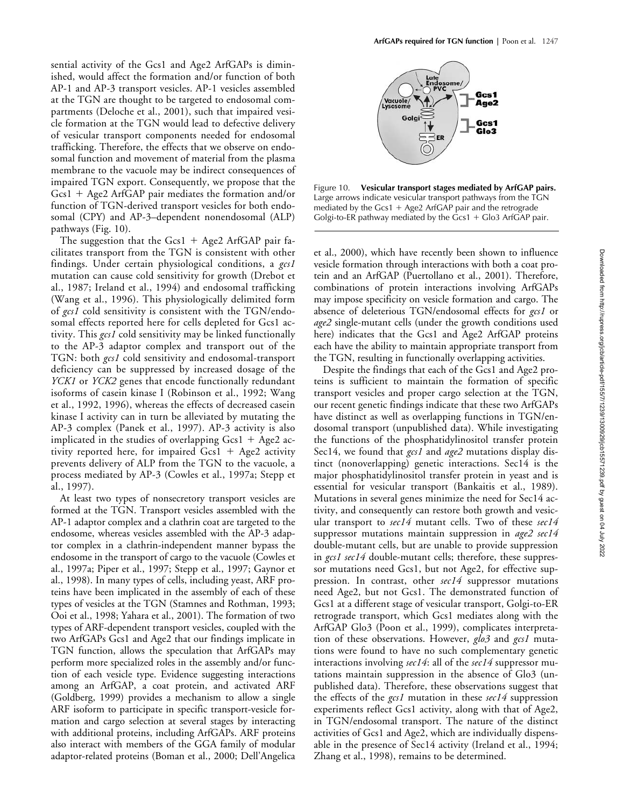sential activity of the Gcs1 and Age2 ArfGAPs is diminished, would affect the formation and/or function of both AP-1 and AP-3 transport vesicles. AP-1 vesicles assembled at the TGN are thought to be targeted to endosomal compartments (Deloche et al., 2001), such that impaired vesicle formation at the TGN would lead to defective delivery of vesicular transport components needed for endosomal trafficking. Therefore, the effects that we observe on endosomal function and movement of material from the plasma membrane to the vacuole may be indirect consequences of impaired TGN export. Consequently, we propose that the Gcs1 + Age2 ArfGAP pair mediates the formation and/or function of TGN-derived transport vesicles for both endosomal (CPY) and AP-3–dependent nonendosomal (ALP) pathways (Fig. 10).

The suggestion that the  $Gcs1 + Age2$  Arf $GAP$  pair facilitates transport from the TGN is consistent with other findings. Under certain physiological conditions, a *gcs1* mutation can cause cold sensitivity for growth (Drebot et al., 1987; Ireland et al., 1994) and endosomal trafficking (Wang et al., 1996). This physiologically delimited form of *gcs1* cold sensitivity is consistent with the TGN/endosomal effects reported here for cells depleted for Gcs1 activity. This *gcs1* cold sensitivity may be linked functionally to the AP-3 adaptor complex and transport out of the TGN: both *gcs1* cold sensitivity and endosomal-transport deficiency can be suppressed by increased dosage of the *YCK1* or *YCK2* genes that encode functionally redundant isoforms of casein kinase I (Robinson et al., 1992; Wang et al., 1992, 1996), whereas the effects of decreased casein kinase I activity can in turn be alleviated by mutating the AP-3 complex (Panek et al., 1997). AP-3 activity is also implicated in the studies of overlapping  $Gcs1 + Age2$  activity reported here, for impaired Gcs1 + Age2 activity prevents delivery of ALP from the TGN to the vacuole, a process mediated by AP-3 (Cowles et al., 1997a; Stepp et al., 1997).

At least two types of nonsecretory transport vesicles are formed at the TGN. Transport vesicles assembled with the AP-1 adaptor complex and a clathrin coat are targeted to the endosome, whereas vesicles assembled with the AP-3 adaptor complex in a clathrin-independent manner bypass the endosome in the transport of cargo to the vacuole (Cowles et al., 1997a; Piper et al., 1997; Stepp et al., 1997; Gaynor et al., 1998). In many types of cells, including yeast, ARF proteins have been implicated in the assembly of each of these types of vesicles at the TGN (Stamnes and Rothman, 1993; Ooi et al., 1998; Yahara et al., 2001). The formation of two types of ARF-dependent transport vesicles, coupled with the two ArfGAPs Gcs1 and Age2 that our findings implicate in TGN function, allows the speculation that ArfGAPs may perform more specialized roles in the assembly and/or function of each vesicle type. Evidence suggesting interactions among an ArfGAP, a coat protein, and activated ARF (Goldberg, 1999) provides a mechanism to allow a single ARF isoform to participate in specific transport-vesicle formation and cargo selection at several stages by interacting with additional proteins, including ArfGAPs. ARF proteins also interact with members of the GGA family of modular adaptor-related proteins (Boman et al., 2000; Dell'Angelica



Figure 10. **Vesicular transport stages mediated by ArfGAP pairs.** Large arrows indicate vesicular transport pathways from the TGN mediated by the Gcs1 + Age2 ArfGAP pair and the retrograde Golgi-to-ER pathway mediated by the  $Gcs1 + Glo3$  ArfGAP pair.

et al., 2000), which have recently been shown to influence vesicle formation through interactions with both a coat protein and an ArfGAP (Puertollano et al., 2001). Therefore, combinations of protein interactions involving ArfGAPs may impose specificity on vesicle formation and cargo. The absence of deleterious TGN/endosomal effects for *gcs1* or *age2* single-mutant cells (under the growth conditions used here) indicates that the Gcs1 and Age2 ArfGAP proteins each have the ability to maintain appropriate transport from the TGN, resulting in functionally overlapping activities.

Despite the findings that each of the Gcs1 and Age2 proteins is sufficient to maintain the formation of specific transport vesicles and proper cargo selection at the TGN, our recent genetic findings indicate that these two ArfGAPs have distinct as well as overlapping functions in TGN/endosomal transport (unpublished data). While investigating the functions of the phosphatidylinositol transfer protein Sec14, we found that *gcs1* and *age2* mutations display distinct (nonoverlapping) genetic interactions. Sec14 is the major phosphatidylinositol transfer protein in yeast and is essential for vesicular transport (Bankaitis et al., 1989). Mutations in several genes minimize the need for Sec14 activity, and consequently can restore both growth and vesicular transport to *sec14* mutant cells. Two of these *sec14* suppressor mutations maintain suppression in *age2 sec14* double-mutant cells, but are unable to provide suppression in *gcs1 sec14* double-mutant cells; therefore, these suppressor mutations need Gcs1, but not Age2, for effective suppression. In contrast, other *sec14* suppressor mutations need Age2, but not Gcs1. The demonstrated function of Gcs1 at a different stage of vesicular transport, Golgi-to-ER retrograde transport, which Gcs1 mediates along with the ArfGAP Glo3 (Poon et al., 1999), complicates interpretation of these observations. However, *glo3* and *gcs1* mutations were found to have no such complementary genetic interactions involving *sec14*: all of the *sec14* suppressor mutations maintain suppression in the absence of Glo3 (unpublished data). Therefore, these observations suggest that the effects of the *gcs1* mutation in these *sec14* suppression experiments reflect Gcs1 activity, along with that of Age2, in TGN/endosomal transport. The nature of the distinct activities of Gcs1 and Age2, which are individually dispensable in the presence of Sec14 activity (Ireland et al., 1994; Zhang et al., 1998), remains to be determined.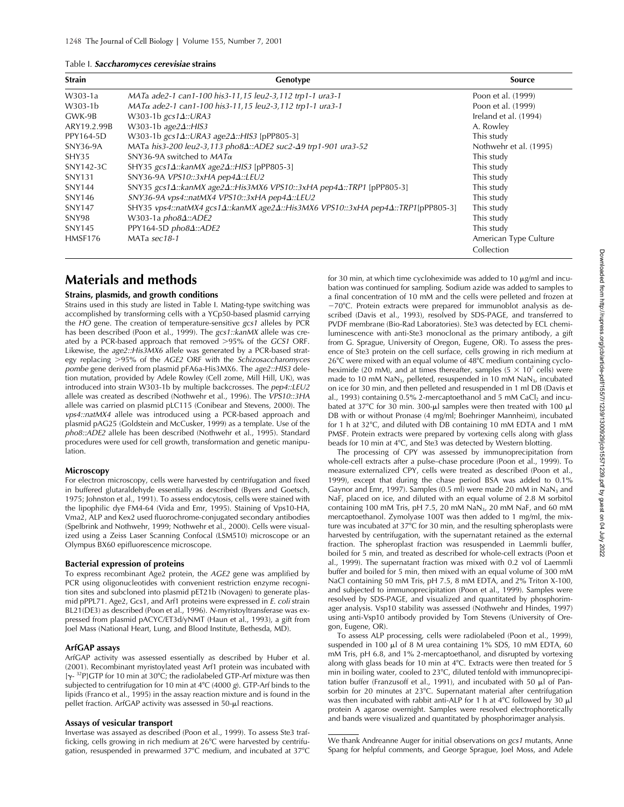#### Table I. *Saccharomyces cerevisiae* **strains**

| <b>Strain</b> | Genotype                                                                                        | <b>Source</b>          |
|---------------|-------------------------------------------------------------------------------------------------|------------------------|
| W303-1a       | MATa ade2-1 can1-100 his3-11,15 leu2-3,112 trp1-1 ura3-1                                        | Poon et al. (1999)     |
| W303-1b       | MATa ade2-1 can1-100 his3-11,15 leu2-3,112 trp1-1 ura3-1                                        | Poon et al. (1999)     |
| GWK-9B        | W303-1b $gcs1\Delta::URA3$                                                                      | Ireland et al. (1994)  |
| ARY19.2.99B   | W303-1b age2 $\Delta$ ::HIS3                                                                    | A. Rowley              |
| PPY164-5D     | W303-1b gcs14::URA3 age24::HIS3 [pPP805-3]                                                      | This study             |
| SNY36-9A      | MATa his3-200 leu2-3,113 pho84::ADE2 suc2-49 trp1-901 ura3-52                                   | Nothwehr et al. (1995) |
| SHY35         | SNY36-9A switched to $MAT\alpha$                                                                | This study             |
| SNY142-3C     | SHY35 $gcs1\Delta::kanMX age2\Delta::HIS3$ [pPP805-3]                                           | This study             |
| <b>SNY131</b> | SNY36-9A VPS10::3xHA pep44::LEU2                                                                | This study             |
| <b>SNY144</b> | SNY35 gcs1 $\Delta$ ::kanMX age2 $\Delta$ ::His3MX6 VPS10::3xHA pep4 $\Delta$ ::TRP1 [pPP805-3] | This study             |
| SNY146        | SNY36-9A vps4::natMX4 VPS10::3xHA pep4Δ::LEU2                                                   | This study             |
| <b>SNY147</b> | SHY35 vps4::natMX4 gcs1Δ::kanMX age2Δ::His3MX6 VPS10::3xHA pep4Δ::TRP1[pPP805-3]                | This study             |
| SNY98         | W303-1a $pho8\Delta$ ::ADE2                                                                     | This study             |
| SNY145        | PPY164-5D pho84::ADE2                                                                           | This study             |
| HMSF176       | MATa sec18-1                                                                                    | American Type Culture  |
|               |                                                                                                 | Collection             |

# **Materials and methods**

#### **Strains, plasmids, and growth conditions**

Strains used in this study are listed in Table I. Mating-type switching was accomplished by transforming cells with a YCp50-based plasmid carrying the *HO* gene. The creation of temperature-sensitive *gcs1* alleles by PCR has been described (Poon et al., 1999). The *gcs1::kanMX* allele was created by a PCR-based approach that removed 95% of the *GCS1* ORF. Likewise, the *age2::His3MX6* allele was generated by a PCR-based strategy replacing 95% of the *AGE2* ORF with the *Schizosaccharomyces pombe* gene derived from plasmid pFA6a-His3MX6. The *age2::HIS3* deletion mutation, provided by Adele Rowley (Cell zome, Mill Hill, UK), was introduced into strain W303-1b by multiple backcrosses. The *pep4::LEU2* allele was created as described (Nothwehr et al., 1996). The *VPS10::3HA* allele was carried on plasmid pLC115 (Conibear and Stevens, 2000). The *vps4::natMX4* allele was introduced using a PCR-based approach and plasmid pAG25 (Goldstein and McCusker, 1999) as a template. Use of the *pho8::ADE2* allele has been described (Nothwehr et al., 1995). Standard procedures were used for cell growth, transformation and genetic manipulation.

#### **Microscopy**

For electron microscopy, cells were harvested by centrifugation and fixed in buffered glutaraldehyde essentially as described (Byers and Goetsch, 1975; Johnston et al., 1991). To assess endocytosis, cells were stained with the lipophilic dye FM4-64 (Vida and Emr, 1995). Staining of Vps10-HA, Vma2, ALP and Kex2 used fluorochrome-conjugated secondary antibodies (Spelbrink and Nothwehr, 1999; Nothwehr et al., 2000). Cells were visualized using a Zeiss Laser Scanning Confocal (LSM510) microscope or an Olympus BX60 epifluorescence microscope.

#### **Bacterial expression of proteins**

To express recombinant Age2 protein, the *AGE2* gene was amplified by PCR using oligonucleotides with convenient restriction enzyme recognition sites and subcloned into plasmid pET21b (Novagen) to generate plasmid pPPL71. Age2, Gcs1, and Arf1 proteins were expressed in *E. coli* strain BL21(DE3) as described (Poon et al., 1996). *N*-myristoyltransferase was expressed from plasmid pACYC/ET3d/yNMT (Haun et al., 1993), a gift from Joel Mass (National Heart, Lung, and Blood Institute, Bethesda, MD).

### **ArfGAP assays**

ArfGAP activity was assessed essentially as described by Huber et al. (2001). Recombinant myristoylated yeast Arf1 protein was incubated with  $[\gamma -$ <sup>32</sup>P]GTP for 10 min at 30°C; the radiolabeled GTP-Arf mixture was then subjected to centrifugation for 10 min at 4°C (4000 g). GTP-Arf binds to the lipids (Franco et al., 1995) in the assay reaction mixture and is found in the pellet fraction. ArfGAP activity was assessed in 50-µl reactions.

### **Assays of vesicular transport**

Invertase was assayed as described (Poon et al., 1999). To assess Ste3 trafficking, cells growing in rich medium at 26°C were harvested by centrifugation, resuspended in prewarmed 37°C medium, and incubated at 37°C

for 30 min, at which time cycloheximide was added to 10  $\mu$ g/ml and incubation was continued for sampling. Sodium azide was added to samples to a final concentration of 10 mM and the cells were pelleted and frozen at  $-70^{\circ}$ C. Protein extracts were prepared for immunoblot analysis as described (Davis et al., 1993), resolved by SDS-PAGE, and transferred to PVDF membrane (Bio-Rad Laboratories). Ste3 was detected by ECL chemiluminescence with anti-Ste3 monoclonal as the primary antibody, a gift from G. Sprague, University of Oregon, Eugene, OR). To assess the presence of Ste3 protein on the cell surface, cells growing in rich medium at  $26^{\circ}$ C were mixed with an equal volume of  $48^{\circ}$ C medium containing cycloheximide (20 mM), and at times thereafter, samples ( $5 \times 10^7$  cells) were made to 10 mM NaN<sub>3</sub>, pelleted, resuspended in 10 mM NaN<sub>3</sub>, incubated on ice for 30 min, and then pelleted and resuspended in 1 ml DB (Davis et al., 1993) containing  $0.5\%$  2-mercaptoethanol and 5 mM CaCl<sub>2</sub> and incubated at 37°C for 30 min. 300- $\mu$ l samples were then treated with 100  $\mu$ l DB with or without Pronase (4 mg/ml; Boehringer Mannheim), incubated for 1 h at 32°C, and diluted with DB containing 10 mM EDTA and 1 mM PMSF. Protein extracts were prepared by vortexing cells along with glass beads for 10 min at 4°C, and Ste3 was detected by Western blotting.

The processing of CPY was assessed by immunoprecipitation from whole-cell extracts after a pulse–chase procedure (Poon et al., 1999). To measure externalized CPY, cells were treated as described (Poon et al., 1999), except that during the chase period BSA was added to 0.1% Gaynor and Emr, 1997). Samples (0.5 ml) were made 20 mM in  $NaN<sub>3</sub>$  and NaF, placed on ice, and diluted with an equal volume of 2.8 M sorbitol containing 100 mM Tris, pH 7.5, 20 mM NaN $_3$ , 20 mM NaF, and 60 mM mercaptoethanol. Zymolyase 100T was then added to 1 mg/ml, the mixture was incubated at 37°C for 30 min, and the resulting spheroplasts were harvested by centrifugation, with the supernatant retained as the external fraction. The spheroplast fraction was resuspended in Laemmli buffer, boiled for 5 min, and treated as described for whole-cell extracts (Poon et al., 1999). The supernatant fraction was mixed with 0.2 vol of Laemmli buffer and boiled for 5 min, then mixed with an equal volume of 300 mM NaCl containing 50 mM Tris, pH 7.5, 8 mM EDTA, and 2% Triton X-100, and subjected to immunoprecipitation (Poon et al., 1999). Samples were resolved by SDS-PAGE, and visualized and quantitated by phosphorimager analysis. Vsp10 stability was assessed (Nothwehr and Hindes, 1997) using anti-Vsp10 antibody provided by Tom Stevens (University of Oregon, Eugene, OR).

To assess ALP processing, cells were radiolabeled (Poon et al., 1999), suspended in 100  $\mu$ l of 8 M urea containing 1% SDS, 10 mM EDTA, 60 mM Tris, pH 6.8, and 1% 2-mercaptoethanol, and disrupted by vortexing along with glass beads for 10 min at  $4^{\circ}$ C. Extracts were then treated for 5 min in boiling water, cooled to 23°C, diluted tenfold with immunoprecipitation buffer (Franzusoff et al., 1991), and incubated with 50  $\mu$ l of Pansorbin for 20 minutes at 23°C. Supernatant material after centrifugation was then incubated with rabbit anti-ALP for 1 h at  $4^{\circ}$ C followed by 30  $\mu$ l protein A agarose overnight. Samples were resolved electrophoretically and bands were visualized and quantitated by phosphorimager analysis.

#### We thank Andreanne Auger for initial observations on *gcs1* mutants, Anne Spang for helpful comments, and George Sprague, Joel Moss, and Adele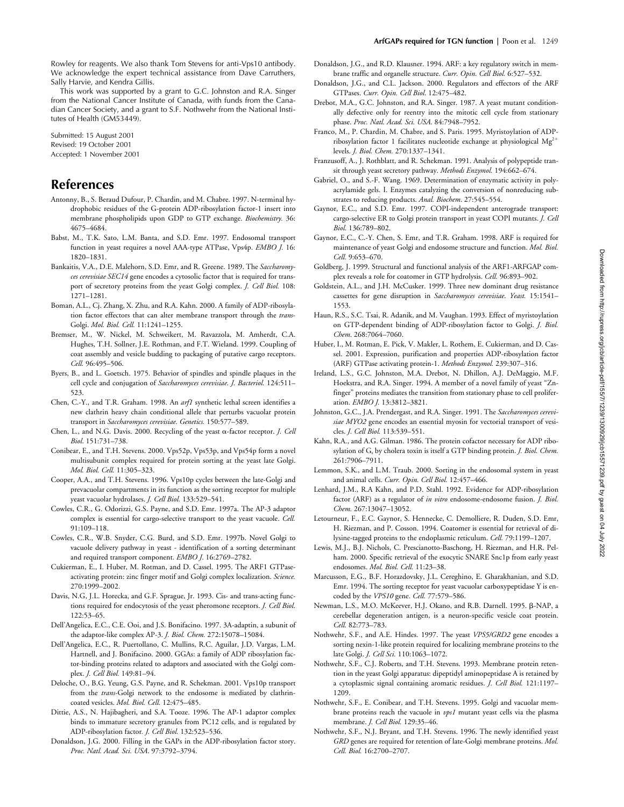Rowley for reagents. We also thank Tom Stevens for anti-Vps10 antibody. We acknowledge the expert technical assistance from Dave Carruthers, Sally Harvie, and Kendra Gillis.

This work was supported by a grant to G.C. Johnston and R.A. Singer from the National Cancer Institute of Canada, with funds from the Canadian Cancer Society, and a grant to S.F. Nothwehr from the National Institutes of Health (GM53449).

Submitted: 15 August 2001 Revised: 19 October 2001 Accepted: 1 November 2001

# **References**

- Antonny, B., S. Beraud Dufour, P. Chardin, and M. Chabre. 1997. N-terminal hydrophobic residues of the G-protein ADP-ribosylation factor-1 insert into membrane phospholipids upon GDP to GTP exchange. *Biochemistry.* 36: 4675–4684.
- Babst, M., T.K. Sato, L.M. Banta, and S.D. Emr. 1997. Endosomal transport function in yeast requires a novel AAA-type ATPase, Vps4p. *EMBO J.* 16: 1820–1831.
- Bankaitis, V.A., D.E. Malehorn, S.D. Emr, and R. Greene. 1989. The *Saccharomyces cerevisiae SEC14* gene encodes a cytosolic factor that is required for transport of secretory proteins from the yeast Golgi complex. *J. Cell Biol.* 108: 1271–1281.
- Boman, A.L., Cj. Zhang, X. Zhu, and R.A. Kahn. 2000. A family of ADP-ribosylation factor effectors that can alter membrane transport through the *trans*-Golgi. *Mol. Biol. Cell.* 11:1241–1255.
- Bremser, M., W. Nickel, M. Schweikert, M. Ravazzola, M. Amherdt, C.A. Hughes, T.H. Sollner, J.E. Rothman, and F.T. Wieland. 1999. Coupling of coat assembly and vesicle budding to packaging of putative cargo receptors. *Cell.* 96:495–506.
- Byers, B., and L. Goetsch. 1975. Behavior of spindles and spindle plaques in the cell cycle and conjugation of *Saccharomyces cerevisiae*. *J. Bacteriol.* 124:511– 523.
- Chen, C.-Y., and T.R. Graham. 1998. An *arf1* synthetic lethal screen identifies a new clathrin heavy chain conditional allele that perturbs vacuolar protein transport in *Saccharomyces cerevisiae*. *Genetics.* 150:577–589.
- Chen, L., and N.G. Davis. 2000. Recycling of the yeast  $\alpha$ -factor receptor. *J. Cell Biol*. 151:731–738.
- Conibear, E., and T.H. Stevens. 2000. Vps52p, Vps53p, and Vps54p form a novel multisubunit complex required for protein sorting at the yeast late Golgi. *Mol. Biol. Cell.* 11:305–323.
- Cooper, A.A., and T.H. Stevens. 1996. Vps10p cycles between the late-Golgi and prevacuolar compartments in its function as the sorting receptor for multiple yeast vacuolar hydrolases. *J. Cell Biol.* 133:529–541.
- Cowles, C.R., G. Odorizzi, G.S. Payne, and S.D. Emr. 1997a. The AP-3 adaptor complex is essential for cargo-selective transport to the yeast vacuole. *Cell.* 91:109–118.
- Cowles, C.R., W.B. Snyder, C.G. Burd, and S.D. Emr. 1997b. Novel Golgi to vacuole delivery pathway in yeast - identification of a sorting determinant and required transport component. *EMBO J*. 16:2769–2782.
- Cukierman, E., I. Huber, M. Rotman, and D. Cassel. 1995. The ARF1 GTPaseactivating protein: zinc finger motif and Golgi complex localization. *Science.* 270:1999–2002.
- Davis, N.G, J.L. Horecka, and G.F. Sprague, Jr. 1993. Cis- and trans-acting functions required for endocytosis of the yeast pheromone receptors. *J. Cell Biol*. 122:53–65.
- Dell'Angelica, E.C., C.E. Ooi, and J.S. Bonifacino. 1997. 3A-adaptin, a subunit of the adaptor-like complex AP-3. *J. Biol. Chem.* 272:15078–15084.
- Dell'Angelica, E.C., R. Puertollano, C. Mullins, R.C. Aguilar, J.D. Vargas, L.M. Hartnell, and J. Bonifacino. 2000. GGAs: a family of ADP ribosylation factor-binding proteins related to adaptors and associated with the Golgi complex. *J. Cell Biol.* 149:81–94.
- Deloche, O., B.G. Yeung, G.S. Payne, and R. Schekman. 2001. Vps10p transport from the *trans*-Golgi network to the endosome is mediated by clathrincoated vesicles. *Mol. Biol. Cell.* 12:475–485.
- Dittie, A.S., N. Hajibagheri, and S.A. Tooze. 1996. The AP-1 adaptor complex binds to immature secretory granules from PC12 cells, and is regulated by ADP-ribosylation factor*. J. Cell Biol.* 132:523–536.
- Donaldson, J.G. 2000. Filling in the GAPs in the ADP-ribosylation factor story. *Proc. Natl. Acad. Sci. USA*. 97:3792–3794.
- Donaldson, J.G., and R.D. Klausner. 1994. ARF: a key regulatory switch in membrane traffic and organelle structure. *Curr. Opin. Cell Biol.* 6:527–532.
- Donaldson, J.G., and C.L. Jackson. 2000. Regulators and effectors of the ARF GTPases. *Curr. Opin. Cell Biol*. 12:475–482.
- Drebot, M.A., G.C. Johnston, and R.A. Singer. 1987. A yeast mutant conditionally defective only for reentry into the mitotic cell cycle from stationary phase. *Proc. Natl. Acad. Sci. USA.* 84:7948–7952.
- Franco, M., P. Chardin, M. Chabre, and S. Paris. 1995. Myristoylation of ADPribosylation factor 1 facilitates nucleotide exchange at physiological  $Mg^{2+}$ levels. *J. Biol. Chem.* 270:1337–1341.
- Franzusoff, A., J. Rothblatt, and R. Schekman. 1991. Analysis of polypeptide transit through yeast secretory pathway. *Methods Enzymol.* 194:662–674.
- Gabriel, O., and S.-F. Wang. 1969. Determination of enzymatic activity in polyacrylamide gels. I. Enzymes catalyzing the conversion of nonreducing substrates to reducing products. *Anal. Biochem*. 27:545–554.
- Gaynor, E.C., and S.D. Emr. 1997. COPI-independent anterograde transport: cargo-selective ER to Golgi protein transport in yeast COPI mutants. *J. Cell Biol.* 136:789–802.
- Gaynor, E.C., C.-Y. Chen, S. Emr, and T.R. Graham. 1998. ARF is required for maintenance of yeast Golgi and endosome structure and function. *Mol. Biol. Cell.* 9:653–670.
- Goldberg, J. 1999. Structural and functional analysis of the ARF1-ARFGAP complex reveals a role for coatomer in GTP hydrolysis. *Cell.* 96:893–902.
- Goldstein, A.L., and J.H. McCusker. 1999. Three new dominant drug resistance cassettes for gene disruption in *Saccharomyces cerevisiae*. *Yeast.* 15:1541– 1553.
- Haun, R.S., S.C. Tsai, R. Adanik, and M. Vaughan. 1993. Effect of myristoylation on GTP-dependent binding of ADP-ribosylation factor to Golgi. *J. Biol. Chem*. 268:7064–7060.
- Huber, I., M. Rotman, E. Pick, V. Makler, L. Rothem, E. Cukierman, and D. Cassel. 2001. Expression, purification and properties ADP-ribosylation factor (ARF) GTPase activating protein-1. *Methods Enzymol.* 239:307–316.
- Ireland, L.S., G.C. Johnston, M.A. Drebot, N. Dhillon, A.J. DeMaggio, M.F. Hoekstra, and R.A. Singer. 1994. A member of a novel family of yeast "Znfinger" proteins mediates the transition from stationary phase to cell proliferation. *EMBO J.* 13:3812–3821.
- Johnston, G.C., J.A. Prendergast, and R.A. Singer. 1991. The *Saccharomyces cerevisiae MYO2* gene encodes an essential myosin for vectorial transport of vesicles. *J. Cell Biol.* 113:539–551.
- Kahn, R.A., and A.G. Gilman. 1986. The protein cofactor necessary for ADP ribosylation of G<sub>s</sub> by cholera toxin is itself a GTP binding protein. *J. Biol. Chem.* 261:7906–7911.
- Lemmon, S.K., and L.M. Traub. 2000. Sorting in the endosomal system in yeast and animal cells. *Curr. Opin. Cell Biol.* 12:457–466.
- Lenhard, J.M., R.A Kahn, and P.D. Stahl. 1992. Evidence for ADP-ribosylation factor (ARF) as a regulator of *in vitro* endosome-endosome fusion. *J. Biol. Chem.* 267:13047–13052.
- Letourneur, F., E.C. Gaynor, S. Hennecke, C. Demolliere, R. Duden, S.D. Emr, H. Riezman, and P. Cosson. 1994. Coatomer is essential for retrieval of dilysine-tagged proteins to the endoplasmic reticulum. *Cell.* 79:1199–1207.
- Lewis, M.J., B.J. Nichols, C. Prescianotto-Baschong, H. Riezman, and H.R. Pelham. 2000. Specific retrieval of the exocytic SNARE Snc1p from early yeast endosomes. *Mol. Biol. Cell.* 11:23–38.
- Marcusson, E.G., B.F. Horazdovsky, J.L. Cereghino, E. Gharakhanian, and S.D. Emr. 1994. The sorting receptor for yeast vacuolar carboxypeptidase Y is encoded by the *VPS10* gene. *Cell.* 77:579–586.
- Newman, L.S., M.O. McKeever, H.J. Okano, and R.B. Darnell. 1995. β-NAP, a cerebellar degeneration antigen, is a neuron-specific vesicle coat protein. *Cell.* 82:773–783.
- Nothwehr, S.F., and A.E. Hindes. 1997. The yeast *VPS5/GRD2* gene encodes a sorting nexin-1-like protein required for localizing membrane proteins to the late Golgi. *J. Cell Sci.* 110:1063–1072.
- Nothwehr, S.F., C.J. Roberts, and T.H. Stevens. 1993. Membrane protein retention in the yeast Golgi apparatus: dipeptidyl aminopeptidase A is retained by a cytoplasmic signal containing aromatic residues. *J. Cell Biol.* 121:1197– 1209.
- Nothwehr, S.F., E. Conibear, and T.H. Stevens. 1995. Golgi and vacuolar membrane proteins reach the vacuole in *vps1* mutant yeast cells via the plasma membrane. *J. Cell Biol.* 129:35–46.
- Nothwehr, S.F., N.J. Bryant, and T.H. Stevens. 1996. The newly identified yeast *GRD* genes are required for retention of late-Golgi membrane proteins. *Mol. Cell. Biol.* 16:2700–2707.